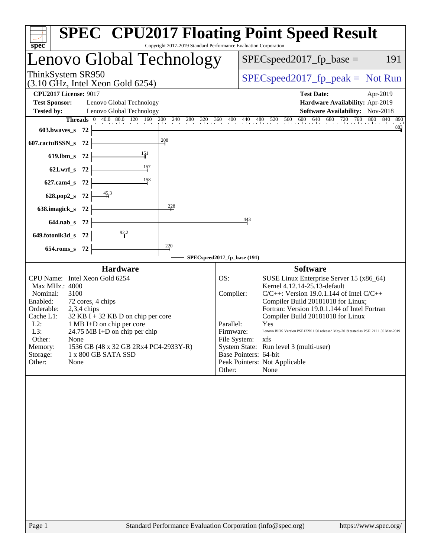| spec <sup>®</sup>                                                                                                                                                                                                                                                                                                                                                                                                      | <b>SPEC<sup>®</sup> CPU2017 Floating Point Speed Result</b><br>Copyright 2017-2019 Standard Performance Evaluation Corporation                                                                                                                                                                                                                                                                                                                                                                                                                               |
|------------------------------------------------------------------------------------------------------------------------------------------------------------------------------------------------------------------------------------------------------------------------------------------------------------------------------------------------------------------------------------------------------------------------|--------------------------------------------------------------------------------------------------------------------------------------------------------------------------------------------------------------------------------------------------------------------------------------------------------------------------------------------------------------------------------------------------------------------------------------------------------------------------------------------------------------------------------------------------------------|
| Lenovo Global Technology                                                                                                                                                                                                                                                                                                                                                                                               | $SPEC speed2017_fp\_base =$<br>191                                                                                                                                                                                                                                                                                                                                                                                                                                                                                                                           |
| ThinkSystem SR950<br>$(3.10 \text{ GHz}, \text{Intel Xeon Gold } 6254)$                                                                                                                                                                                                                                                                                                                                                | $SPEC speed2017fr peak = Not Run$                                                                                                                                                                                                                                                                                                                                                                                                                                                                                                                            |
| <b>CPU2017 License: 9017</b>                                                                                                                                                                                                                                                                                                                                                                                           | <b>Test Date:</b><br>Apr-2019                                                                                                                                                                                                                                                                                                                                                                                                                                                                                                                                |
| <b>Test Sponsor:</b><br>Lenovo Global Technology<br><b>Tested by:</b><br>Lenovo Global Technology                                                                                                                                                                                                                                                                                                                      | Hardware Availability: Apr-2019<br>Software Availability: Nov-2018                                                                                                                                                                                                                                                                                                                                                                                                                                                                                           |
|                                                                                                                                                                                                                                                                                                                                                                                                                        | Threads 0 40.0 80.0 120 160 200 240 280 320 360 400 440 480 520 560 600 640 680 720 760 800 840 890                                                                                                                                                                                                                                                                                                                                                                                                                                                          |
| $603.bwaves$ 72                                                                                                                                                                                                                                                                                                                                                                                                        | 883                                                                                                                                                                                                                                                                                                                                                                                                                                                                                                                                                          |
| $\frac{208}{4}$<br>607.cactuBSSN_s 72                                                                                                                                                                                                                                                                                                                                                                                  |                                                                                                                                                                                                                                                                                                                                                                                                                                                                                                                                                              |
| $\frac{151}{1}$<br>619.lbm_s 72                                                                                                                                                                                                                                                                                                                                                                                        |                                                                                                                                                                                                                                                                                                                                                                                                                                                                                                                                                              |
| $\frac{157}{1}$<br>$621.wrf$ <sub>s</sub> 72                                                                                                                                                                                                                                                                                                                                                                           |                                                                                                                                                                                                                                                                                                                                                                                                                                                                                                                                                              |
| $\frac{158}{2}$<br>627.cam4_s 72                                                                                                                                                                                                                                                                                                                                                                                       |                                                                                                                                                                                                                                                                                                                                                                                                                                                                                                                                                              |
| $\frac{45.3}{1}$<br>628.pop2_s 72                                                                                                                                                                                                                                                                                                                                                                                      |                                                                                                                                                                                                                                                                                                                                                                                                                                                                                                                                                              |
| $\frac{228}{11}$<br>638.imagick_s 72                                                                                                                                                                                                                                                                                                                                                                                   |                                                                                                                                                                                                                                                                                                                                                                                                                                                                                                                                                              |
| 644.nab_s 72                                                                                                                                                                                                                                                                                                                                                                                                           | 443                                                                                                                                                                                                                                                                                                                                                                                                                                                                                                                                                          |
| 649.fotonik3d_s 72                                                                                                                                                                                                                                                                                                                                                                                                     |                                                                                                                                                                                                                                                                                                                                                                                                                                                                                                                                                              |
| $\frac{220}{4}$<br>654.roms_s 72                                                                                                                                                                                                                                                                                                                                                                                       |                                                                                                                                                                                                                                                                                                                                                                                                                                                                                                                                                              |
|                                                                                                                                                                                                                                                                                                                                                                                                                        | SPECspeed2017_fp_base (191)                                                                                                                                                                                                                                                                                                                                                                                                                                                                                                                                  |
| <b>Hardware</b><br>CPU Name: Intel Xeon Gold 6254<br>Max MHz.: 4000<br>Nominal:<br>3100<br>Enabled:<br>72 cores, 4 chips<br>Orderable:<br>$2,3,4$ chips<br>Cache L1:<br>$32$ KB I + 32 KB D on chip per core<br>$L2$ :<br>1 MB I+D on chip per core<br>24.75 MB I+D on chip per chip<br>L3:<br>Other:<br>None<br>1536 GB (48 x 32 GB 2Rx4 PC4-2933Y-R)<br>Memory:<br>Storage:<br>1 x 800 GB SATA SSD<br>Other:<br>None | <b>Software</b><br>OS:<br>SUSE Linux Enterprise Server 15 (x86_64)<br>Kernel 4.12.14-25.13-default<br>Compiler:<br>$C/C++$ : Version 19.0.1.144 of Intel $C/C++$<br>Compiler Build 20181018 for Linux;<br>Fortran: Version 19.0.1.144 of Intel Fortran<br>Compiler Build 20181018 for Linux<br>Parallel:<br>Yes<br>Lenovo BIOS Version PSE122N 1.50 released May-2019 tested as PSE121I 1.50 Mar-2019<br>Firmware:<br>File System: xfs<br>System State: Run level 3 (multi-user)<br>Base Pointers: 64-bit<br>Peak Pointers: Not Applicable<br>Other:<br>None |
|                                                                                                                                                                                                                                                                                                                                                                                                                        |                                                                                                                                                                                                                                                                                                                                                                                                                                                                                                                                                              |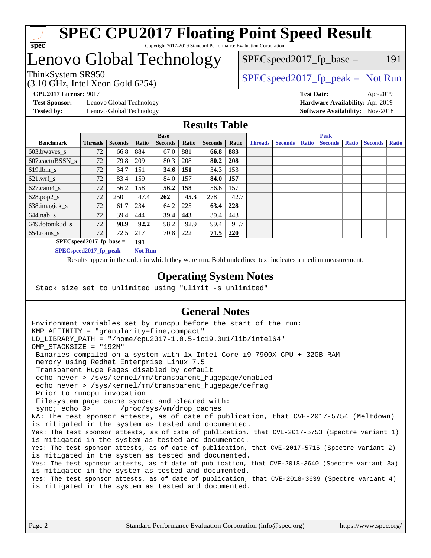

#### **[SPEC CPU2017 Floating Point Speed Result](http://www.spec.org/auto/cpu2017/Docs/result-fields.html#SPECCPU2017FloatingPointSpeedResult)** Copyright 2017-2019 Standard Performance Evaluation Corporation

## Lenovo Global Technology

(3.10 GHz, Intel Xeon Gold 6254)

ThinkSystem SR950<br>  $SPEC speed2017<sub>rfp</sub> peak = Not Run$ 

 $SPEC speed2017_fp\_base = 191$ 

**[Test Sponsor:](http://www.spec.org/auto/cpu2017/Docs/result-fields.html#TestSponsor)** Lenovo Global Technology **[Hardware Availability:](http://www.spec.org/auto/cpu2017/Docs/result-fields.html#HardwareAvailability)** Apr-2019 **[Tested by:](http://www.spec.org/auto/cpu2017/Docs/result-fields.html#Testedby)** Lenovo Global Technology **[Software Availability:](http://www.spec.org/auto/cpu2017/Docs/result-fields.html#SoftwareAvailability)** Nov-2018

**[CPU2017 License:](http://www.spec.org/auto/cpu2017/Docs/result-fields.html#CPU2017License)** 9017 **[Test Date:](http://www.spec.org/auto/cpu2017/Docs/result-fields.html#TestDate)** Apr-2019

#### **[Results Table](http://www.spec.org/auto/cpu2017/Docs/result-fields.html#ResultsTable)**

|                  | <b>Base</b>                   |                |                         |                |              | <b>Peak</b>    |            |                |                |              |                |              |                |              |
|------------------|-------------------------------|----------------|-------------------------|----------------|--------------|----------------|------------|----------------|----------------|--------------|----------------|--------------|----------------|--------------|
| <b>Benchmark</b> | <b>Threads</b>                | <b>Seconds</b> | Ratio                   | <b>Seconds</b> | <b>Ratio</b> | <b>Seconds</b> | Ratio      | <b>Threads</b> | <b>Seconds</b> | <b>Ratio</b> | <b>Seconds</b> | <b>Ratio</b> | <b>Seconds</b> | <b>Ratio</b> |
| 603.bwayes s     | 72                            | 66.8           | 884                     | 67.0           | 881          | 66.8           | 883        |                |                |              |                |              |                |              |
| 607.cactuBSSN s  | 72                            | 79.8           | 209                     | 80.3           | 208          | 80.2           | 208        |                |                |              |                |              |                |              |
| $619.$ lbm s     | 72                            | 34.7           | 151                     | <b>34.6</b>    | 151          | 34.3           | 153        |                |                |              |                |              |                |              |
| $621.wrf$ s      | 72                            | 83.4           | 159                     | 84.0           | 157          | 84.0           | 157        |                |                |              |                |              |                |              |
| $627$ .cam4 s    | 72                            | 56.2           | 158                     | 56.2           | 158          | 56.6           | 157        |                |                |              |                |              |                |              |
| $628.pop2_s$     | 72                            | 250            | 47.4                    | 262            | 45.3         | 278            | 42.7       |                |                |              |                |              |                |              |
| 638.imagick_s    | 72                            | 61.7           | 234                     | 64.2           | 225          | 63.4           | 228        |                |                |              |                |              |                |              |
| $644$ .nab s     | 72                            | 39.4           | 444                     | 39.4           | 443          | 39.4           | 443        |                |                |              |                |              |                |              |
| 649.fotonik3d s  | 72                            | 98.9           | 92.2                    | 98.2           | 92.9         | 99.4           | 91.7       |                |                |              |                |              |                |              |
| $654$ .roms s    | 72                            | 72.5           | 217                     | 70.8           | 222          | 71.5           | <b>220</b> |                |                |              |                |              |                |              |
|                  | $SPECspeed2017_fp\_base =$    |                | 191                     |                |              |                |            |                |                |              |                |              |                |              |
|                  | $CDFC_{cm00}d2017$ for nook - |                | $Nof$ D <sub>11</sub> n |                |              |                |            |                |                |              |                |              |                |              |

**[SPECspeed2017\\_fp\\_peak =](http://www.spec.org/auto/cpu2017/Docs/result-fields.html#SPECspeed2017fppeak) Not Run**

Results appear in the [order in which they were run.](http://www.spec.org/auto/cpu2017/Docs/result-fields.html#RunOrder) Bold underlined text [indicates a median measurement](http://www.spec.org/auto/cpu2017/Docs/result-fields.html#Median).

#### **[Operating System Notes](http://www.spec.org/auto/cpu2017/Docs/result-fields.html#OperatingSystemNotes)**

Stack size set to unlimited using "ulimit -s unlimited"

### **[General Notes](http://www.spec.org/auto/cpu2017/Docs/result-fields.html#GeneralNotes)**

Environment variables set by runcpu before the start of the run: KMP\_AFFINITY = "granularity=fine,compact" LD\_LIBRARY\_PATH = "/home/cpu2017-1.0.5-ic19.0u1/lib/intel64" OMP\_STACKSIZE = "192M" Binaries compiled on a system with 1x Intel Core i9-7900X CPU + 32GB RAM memory using Redhat Enterprise Linux 7.5 Transparent Huge Pages disabled by default echo never > /sys/kernel/mm/transparent\_hugepage/enabled echo never > /sys/kernel/mm/transparent\_hugepage/defrag Prior to runcpu invocation Filesystem page cache synced and cleared with: sync; echo 3> /proc/sys/vm/drop\_caches NA: The test sponsor attests, as of date of publication, that CVE-2017-5754 (Meltdown) is mitigated in the system as tested and documented. Yes: The test sponsor attests, as of date of publication, that CVE-2017-5753 (Spectre variant 1) is mitigated in the system as tested and documented. Yes: The test sponsor attests, as of date of publication, that CVE-2017-5715 (Spectre variant 2) is mitigated in the system as tested and documented. Yes: The test sponsor attests, as of date of publication, that CVE-2018-3640 (Spectre variant 3a) is mitigated in the system as tested and documented. Yes: The test sponsor attests, as of date of publication, that CVE-2018-3639 (Spectre variant 4) is mitigated in the system as tested and documented.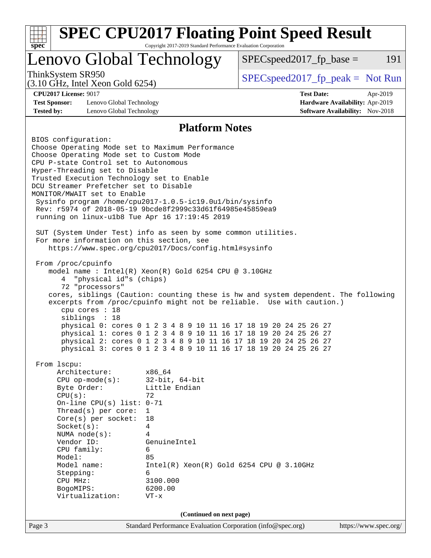| <b>SPEC CPU2017 Floating Point Speed Result</b><br>Copyright 2017-2019 Standard Performance Evaluation Corporation<br>$spec^*$                                                                                                                                                                                                                                                                                                                                                                                                                                                                                                                                                                 |                                                                                                                                                                                                        |                                                                                                                                                                                                                                                                                                                                                                                                                                             |                                                                                |  |  |  |
|------------------------------------------------------------------------------------------------------------------------------------------------------------------------------------------------------------------------------------------------------------------------------------------------------------------------------------------------------------------------------------------------------------------------------------------------------------------------------------------------------------------------------------------------------------------------------------------------------------------------------------------------------------------------------------------------|--------------------------------------------------------------------------------------------------------------------------------------------------------------------------------------------------------|---------------------------------------------------------------------------------------------------------------------------------------------------------------------------------------------------------------------------------------------------------------------------------------------------------------------------------------------------------------------------------------------------------------------------------------------|--------------------------------------------------------------------------------|--|--|--|
| Lenovo Global Technology                                                                                                                                                                                                                                                                                                                                                                                                                                                                                                                                                                                                                                                                       |                                                                                                                                                                                                        | $SPEC speed2017fp base =$                                                                                                                                                                                                                                                                                                                                                                                                                   | 191                                                                            |  |  |  |
| ThinkSystem SR950<br>$(3.10 \text{ GHz}, \text{Intel Xeon Gold } 6254)$                                                                                                                                                                                                                                                                                                                                                                                                                                                                                                                                                                                                                        |                                                                                                                                                                                                        | $SPEC speed2017fr peak = Not Run$                                                                                                                                                                                                                                                                                                                                                                                                           |                                                                                |  |  |  |
| <b>CPU2017 License: 9017</b><br><b>Test Sponsor:</b><br>Lenovo Global Technology<br><b>Tested by:</b><br>Lenovo Global Technology                                                                                                                                                                                                                                                                                                                                                                                                                                                                                                                                                              |                                                                                                                                                                                                        | <b>Test Date:</b>                                                                                                                                                                                                                                                                                                                                                                                                                           | Apr-2019<br>Hardware Availability: Apr-2019<br>Software Availability: Nov-2018 |  |  |  |
|                                                                                                                                                                                                                                                                                                                                                                                                                                                                                                                                                                                                                                                                                                | <b>Platform Notes</b>                                                                                                                                                                                  |                                                                                                                                                                                                                                                                                                                                                                                                                                             |                                                                                |  |  |  |
| BIOS configuration:<br>Choose Operating Mode set to Maximum Performance<br>Choose Operating Mode set to Custom Mode<br>CPU P-state Control set to Autonomous<br>Hyper-Threading set to Disable<br>Trusted Execution Technology set to Enable<br>DCU Streamer Prefetcher set to Disable<br>MONITOR/MWAIT set to Enable<br>Sysinfo program /home/cpu2017-1.0.5-ic19.0ul/bin/sysinfo<br>Rev: r5974 of 2018-05-19 9bcde8f2999c33d61f64985e45859ea9<br>running on linux-ulb8 Tue Apr 16 17:19:45 2019<br>SUT (System Under Test) info as seen by some common utilities.<br>For more information on this section, see<br>https://www.spec.org/cpu2017/Docs/config.html#sysinfo<br>From /proc/cpuinfo |                                                                                                                                                                                                        |                                                                                                                                                                                                                                                                                                                                                                                                                                             |                                                                                |  |  |  |
| model name : Intel(R) Xeon(R) Gold 6254 CPU @ 3.10GHz<br>"physical id"s (chips)<br>4<br>72 "processors"<br>cpu cores : 18<br>siblings : 18                                                                                                                                                                                                                                                                                                                                                                                                                                                                                                                                                     |                                                                                                                                                                                                        | cores, siblings (Caution: counting these is hw and system dependent. The following<br>excerpts from /proc/cpuinfo might not be reliable. Use with caution.)<br>physical 0: cores 0 1 2 3 4 8 9 10 11 16 17 18 19 20 24 25 26 27<br>physical 1: cores 0 1 2 3 4 8 9 10 11 16 17 18 19 20 24 25 26 27<br>physical 2: cores 0 1 2 3 4 8 9 10 11 16 17 18 19 20 24 25 26 27<br>physical 3: cores 0 1 2 3 4 8 9 10 11 16 17 18 19 20 24 25 26 27 |                                                                                |  |  |  |
| From 1scpu:<br>Architecture:<br>$CPU$ op-mode( $s$ ):<br>Byte Order:<br>CPU(s):<br>On-line CPU(s) list: $0-71$<br>Thread( $s$ ) per core:<br>Core(s) per socket:<br>Socket(s):<br>NUMA node(s):<br>Vendor ID:<br>CPU family:<br>Model:<br>Model name:<br>Stepping:<br>CPU MHz:<br>BogoMIPS:<br>Virtualization:                                                                                                                                                                                                                                                                                                                                                                                 | x86_64<br>$32$ -bit, $64$ -bit<br>Little Endian<br>72<br>$\mathbf{1}$<br>18<br>4<br>4<br>GenuineIntel<br>6<br>85<br>$Intel(R) Xeon(R) Gold 6254 CPU @ 3.10GHz$<br>6<br>3100.000<br>6200.00<br>$VT - x$ |                                                                                                                                                                                                                                                                                                                                                                                                                                             |                                                                                |  |  |  |
|                                                                                                                                                                                                                                                                                                                                                                                                                                                                                                                                                                                                                                                                                                | (Continued on next page)                                                                                                                                                                               |                                                                                                                                                                                                                                                                                                                                                                                                                                             |                                                                                |  |  |  |
| Page 3                                                                                                                                                                                                                                                                                                                                                                                                                                                                                                                                                                                                                                                                                         | Standard Performance Evaluation Corporation (info@spec.org)                                                                                                                                            |                                                                                                                                                                                                                                                                                                                                                                                                                                             | https://www.spec.org/                                                          |  |  |  |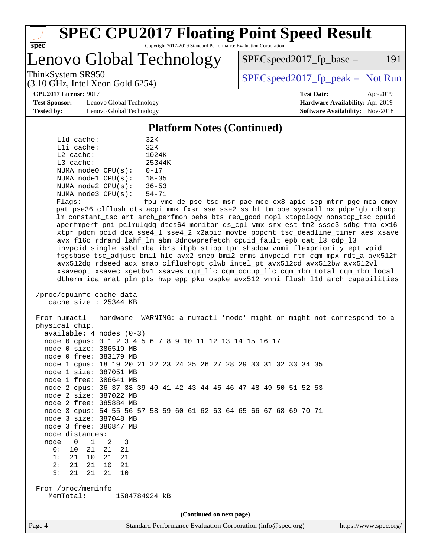

#### **[SPEC CPU2017 Floating Point Speed Result](http://www.spec.org/auto/cpu2017/Docs/result-fields.html#SPECCPU2017FloatingPointSpeedResult)** Copyright 2017-2019 Standard Performance Evaluation Corporation

Lenovo Global Technology

 $SPEC speed2017<sub>fp</sub> base = 191$ 

(3.10 GHz, Intel Xeon Gold 6254)

ThinkSystem SR950<br>  $SPEC speed2017<sub>rfp</sub> peak = Not Run$ 

**[CPU2017 License:](http://www.spec.org/auto/cpu2017/Docs/result-fields.html#CPU2017License)** 9017 **[Test Date:](http://www.spec.org/auto/cpu2017/Docs/result-fields.html#TestDate)** Apr-2019

**[Test Sponsor:](http://www.spec.org/auto/cpu2017/Docs/result-fields.html#TestSponsor)** Lenovo Global Technology **[Hardware Availability:](http://www.spec.org/auto/cpu2017/Docs/result-fields.html#HardwareAvailability)** Apr-2019 **[Tested by:](http://www.spec.org/auto/cpu2017/Docs/result-fields.html#Testedby)** Lenovo Global Technology **[Software Availability:](http://www.spec.org/auto/cpu2017/Docs/result-fields.html#SoftwareAvailability)** Nov-2018

**[Platform Notes \(Continued\)](http://www.spec.org/auto/cpu2017/Docs/result-fields.html#PlatformNotes)**

|             | L1d cache: |                         | 32K       |
|-------------|------------|-------------------------|-----------|
|             | Lli cache: |                         | 32K       |
| $L2$ cache: |            |                         | 1024K     |
| L3 cache:   |            |                         | 25344K    |
|             |            | NUMA $node0$ $CPU(s)$ : | $0 - 17$  |
|             |            | NUMA nodel CPU(s):      | $18 - 35$ |
|             |            | NUMA node2 CPU(s):      | $36 - 53$ |
|             |            | NUMA $node3$ $CPU(s)$ : | $54 - 71$ |
| --          |            |                         | $\sim$    |

Flags: fpu vme de pse tsc msr pae mce cx8 apic sep mtrr pge mca cmov pat pse36 clflush dts acpi mmx fxsr sse sse2 ss ht tm pbe syscall nx pdpe1gb rdtscp lm constant\_tsc art arch\_perfmon pebs bts rep\_good nopl xtopology nonstop\_tsc cpuid aperfmperf pni pclmulqdq dtes64 monitor ds\_cpl vmx smx est tm2 ssse3 sdbg fma cx16 xtpr pdcm pcid dca sse4\_1 sse4\_2 x2apic movbe popcnt tsc\_deadline\_timer aes xsave avx f16c rdrand lahf\_lm abm 3dnowprefetch cpuid\_fault epb cat\_l3 cdp\_l3 invpcid\_single ssbd mba ibrs ibpb stibp tpr\_shadow vnmi flexpriority ept vpid fsgsbase tsc\_adjust bmi1 hle avx2 smep bmi2 erms invpcid rtm cqm mpx rdt\_a avx512f avx512dq rdseed adx smap clflushopt clwb intel\_pt avx512cd avx512bw avx512vl xsaveopt xsavec xgetbv1 xsaves cqm\_llc cqm\_occup\_llc cqm\_mbm\_total cqm\_mbm\_local dtherm ida arat pln pts hwp\_epp pku ospke avx512\_vnni flush\_l1d arch\_capabilities

```
 /proc/cpuinfo cache data
cache size : 25344 KB
```
 From numactl --hardware WARNING: a numactl 'node' might or might not correspond to a physical chip. available: 4 nodes (0-3) node 0 cpus: 0 1 2 3 4 5 6 7 8 9 10 11 12 13 14 15 16 17 node 0 size: 386519 MB node 0 free: 383179 MB node 1 cpus: 18 19 20 21 22 23 24 25 26 27 28 29 30 31 32 33 34 35 node 1 size: 387051 MB node 1 free: 386641 MB node 2 cpus: 36 37 38 39 40 41 42 43 44 45 46 47 48 49 50 51 52 53 node 2 size: 387022 MB node 2 free: 385884 MB node 3 cpus: 54 55 56 57 58 59 60 61 62 63 64 65 66 67 68 69 70 71 node 3 size: 387048 MB node 3 free: 386847 MB node distances: node 0 1 2 3 0: 10 21 21 21 1: 21 10 21 21 2: 21 21 10 21 3: 21 21 21 10 From /proc/meminfo MemTotal: 1584784924 kB **(Continued on next page)**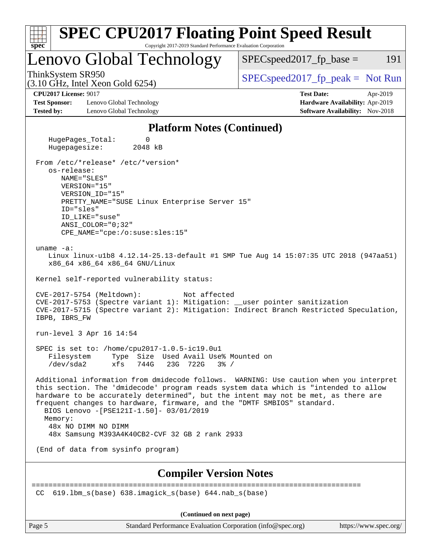| <b>SPEC CPU2017 Floating Point Speed Result</b><br>$spec^*$<br>Copyright 2017-2019 Standard Performance Evaluation Corporation                                                                                                                                                                                                                                                                                                                                                |                                                                                                            |  |  |
|-------------------------------------------------------------------------------------------------------------------------------------------------------------------------------------------------------------------------------------------------------------------------------------------------------------------------------------------------------------------------------------------------------------------------------------------------------------------------------|------------------------------------------------------------------------------------------------------------|--|--|
| Lenovo Global Technology                                                                                                                                                                                                                                                                                                                                                                                                                                                      | $SPEC speed2017_fp\_base =$<br>191                                                                         |  |  |
| ThinkSystem SR950<br>$(3.10 \text{ GHz}, \text{Intel Xeon Gold } 6254)$                                                                                                                                                                                                                                                                                                                                                                                                       | $SPEC speed2017rfp peak = Not Run$                                                                         |  |  |
| <b>CPU2017 License: 9017</b><br><b>Test Sponsor:</b><br>Lenovo Global Technology<br><b>Tested by:</b><br>Lenovo Global Technology                                                                                                                                                                                                                                                                                                                                             | <b>Test Date:</b><br>Apr-2019<br>Hardware Availability: Apr-2019<br><b>Software Availability:</b> Nov-2018 |  |  |
| <b>Platform Notes (Continued)</b>                                                                                                                                                                                                                                                                                                                                                                                                                                             |                                                                                                            |  |  |
| HugePages_Total:<br>0<br>Hugepagesize:<br>2048 kB                                                                                                                                                                                                                                                                                                                                                                                                                             |                                                                                                            |  |  |
| From /etc/*release* /etc/*version*<br>os-release:<br>NAME="SLES"<br>VERSION="15"<br>VERSION_ID="15"<br>PRETTY_NAME="SUSE Linux Enterprise Server 15"<br>ID="sles"<br>ID LIKE="suse"<br>ANSI COLOR="0;32"<br>CPE_NAME="cpe:/o:suse:sles:15"                                                                                                                                                                                                                                    |                                                                                                            |  |  |
| uname $-a$ :<br>Linux linux-ulb8 4.12.14-25.13-default #1 SMP Tue Aug 14 15:07:35 UTC 2018 (947aa51)<br>x86_64 x86_64 x86_64 GNU/Linux                                                                                                                                                                                                                                                                                                                                        |                                                                                                            |  |  |
| Kernel self-reported vulnerability status:<br>CVE-2017-5754 (Meltdown):<br>Not affected<br>CVE-2017-5753 (Spectre variant 1): Mitigation: __user pointer sanitization<br>CVE-2017-5715 (Spectre variant 2): Mitigation: Indirect Branch Restricted Speculation,<br>IBPB, IBRS FW                                                                                                                                                                                              |                                                                                                            |  |  |
| run-level 3 Apr 16 14:54                                                                                                                                                                                                                                                                                                                                                                                                                                                      |                                                                                                            |  |  |
| SPEC is set to: /home/cpu2017-1.0.5-ic19.0u1<br>Filesystem<br>Type Size Used Avail Use% Mounted on<br>/dev/sda2<br>xfs 744G<br>23G 722G 3% /                                                                                                                                                                                                                                                                                                                                  |                                                                                                            |  |  |
| Additional information from dmidecode follows. WARNING: Use caution when you interpret<br>this section. The 'dmidecode' program reads system data which is "intended to allow<br>hardware to be accurately determined", but the intent may not be met, as there are<br>frequent changes to hardware, firmware, and the "DMTF SMBIOS" standard.<br>BIOS Lenovo -[PSE121I-1.50]- 03/01/2019<br>Memory:<br>48x NO DIMM NO DIMM<br>48x Samsung M393A4K40CB2-CVF 32 GB 2 rank 2933 |                                                                                                            |  |  |
| (End of data from sysinfo program)                                                                                                                                                                                                                                                                                                                                                                                                                                            |                                                                                                            |  |  |
| <b>Compiler Version Notes</b>                                                                                                                                                                                                                                                                                                                                                                                                                                                 |                                                                                                            |  |  |
| 619.1bm_s(base) 638.imagick_s(base) 644.nab s(base)<br>CC.                                                                                                                                                                                                                                                                                                                                                                                                                    | ======================                                                                                     |  |  |
| (Continued on next page)                                                                                                                                                                                                                                                                                                                                                                                                                                                      |                                                                                                            |  |  |

Page 5 Standard Performance Evaluation Corporation [\(info@spec.org\)](mailto:info@spec.org) <https://www.spec.org/>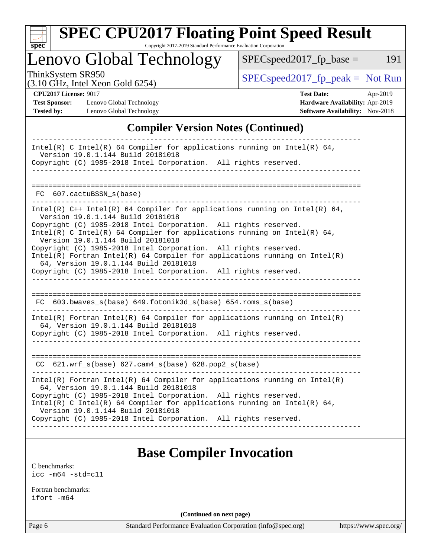

# **[SPEC CPU2017 Floating Point Speed Result](http://www.spec.org/auto/cpu2017/Docs/result-fields.html#SPECCPU2017FloatingPointSpeedResult)**

Copyright 2017-2019 Standard Performance Evaluation Corporation

Lenovo Global Technology

 $SPEC speed2017_fp\_peak = Not Run$ 

 $SPEC speed2017_fp\_base = 191$ 

(3.10 GHz, Intel Xeon Gold 6254)

**[Test Sponsor:](http://www.spec.org/auto/cpu2017/Docs/result-fields.html#TestSponsor)** Lenovo Global Technology **[Hardware Availability:](http://www.spec.org/auto/cpu2017/Docs/result-fields.html#HardwareAvailability)** Apr-2019 **[Tested by:](http://www.spec.org/auto/cpu2017/Docs/result-fields.html#Testedby)** Lenovo Global Technology **[Software Availability:](http://www.spec.org/auto/cpu2017/Docs/result-fields.html#SoftwareAvailability)** Nov-2018

**[CPU2017 License:](http://www.spec.org/auto/cpu2017/Docs/result-fields.html#CPU2017License)** 9017 **[Test Date:](http://www.spec.org/auto/cpu2017/Docs/result-fields.html#TestDate)** Apr-2019

#### **[Compiler Version Notes \(Continued\)](http://www.spec.org/auto/cpu2017/Docs/result-fields.html#CompilerVersionNotes)**

### **[Base Compiler Invocation](http://www.spec.org/auto/cpu2017/Docs/result-fields.html#BaseCompilerInvocation)**

[C benchmarks](http://www.spec.org/auto/cpu2017/Docs/result-fields.html#Cbenchmarks): [icc -m64 -std=c11](http://www.spec.org/cpu2017/results/res2019q3/cpu2017-20190805-16706.flags.html#user_CCbase_intel_icc_64bit_c11_33ee0cdaae7deeeab2a9725423ba97205ce30f63b9926c2519791662299b76a0318f32ddfffdc46587804de3178b4f9328c46fa7c2b0cd779d7a61945c91cd35)

[Fortran benchmarks](http://www.spec.org/auto/cpu2017/Docs/result-fields.html#Fortranbenchmarks): [ifort -m64](http://www.spec.org/cpu2017/results/res2019q3/cpu2017-20190805-16706.flags.html#user_FCbase_intel_ifort_64bit_24f2bb282fbaeffd6157abe4f878425411749daecae9a33200eee2bee2fe76f3b89351d69a8130dd5949958ce389cf37ff59a95e7a40d588e8d3a57e0c3fd751)

**(Continued on next page)**

Page 6 Standard Performance Evaluation Corporation [\(info@spec.org\)](mailto:info@spec.org) <https://www.spec.org/>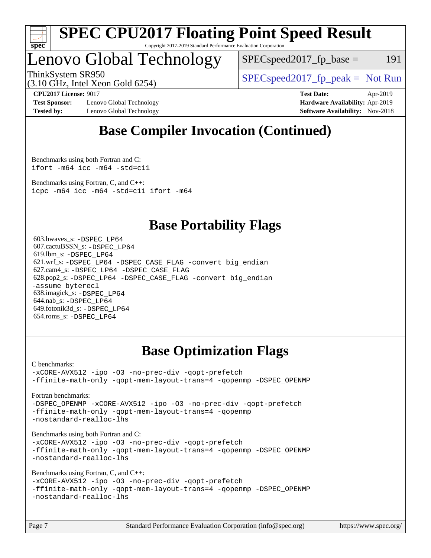

#### **[SPEC CPU2017 Floating Point Speed Result](http://www.spec.org/auto/cpu2017/Docs/result-fields.html#SPECCPU2017FloatingPointSpeedResult)** Copyright 2017-2019 Standard Performance Evaluation Corporation

Lenovo Global Technology

 $SPEC speed2017_fp\_base = 191$ 

(3.10 GHz, Intel Xeon Gold 6254)

ThinkSystem SR950<br>  $SPEC speed2017<sub>rfp</sub> peak = Not Run$ 

**[Test Sponsor:](http://www.spec.org/auto/cpu2017/Docs/result-fields.html#TestSponsor)** Lenovo Global Technology **[Hardware Availability:](http://www.spec.org/auto/cpu2017/Docs/result-fields.html#HardwareAvailability)** Apr-2019 **[Tested by:](http://www.spec.org/auto/cpu2017/Docs/result-fields.html#Testedby)** Lenovo Global Technology **[Software Availability:](http://www.spec.org/auto/cpu2017/Docs/result-fields.html#SoftwareAvailability)** Nov-2018

**[CPU2017 License:](http://www.spec.org/auto/cpu2017/Docs/result-fields.html#CPU2017License)** 9017 **[Test Date:](http://www.spec.org/auto/cpu2017/Docs/result-fields.html#TestDate)** Apr-2019

### **[Base Compiler Invocation \(Continued\)](http://www.spec.org/auto/cpu2017/Docs/result-fields.html#BaseCompilerInvocation)**

[Benchmarks using both Fortran and C](http://www.spec.org/auto/cpu2017/Docs/result-fields.html#BenchmarksusingbothFortranandC): [ifort -m64](http://www.spec.org/cpu2017/results/res2019q3/cpu2017-20190805-16706.flags.html#user_CC_FCbase_intel_ifort_64bit_24f2bb282fbaeffd6157abe4f878425411749daecae9a33200eee2bee2fe76f3b89351d69a8130dd5949958ce389cf37ff59a95e7a40d588e8d3a57e0c3fd751) [icc -m64 -std=c11](http://www.spec.org/cpu2017/results/res2019q3/cpu2017-20190805-16706.flags.html#user_CC_FCbase_intel_icc_64bit_c11_33ee0cdaae7deeeab2a9725423ba97205ce30f63b9926c2519791662299b76a0318f32ddfffdc46587804de3178b4f9328c46fa7c2b0cd779d7a61945c91cd35)

[Benchmarks using Fortran, C, and C++:](http://www.spec.org/auto/cpu2017/Docs/result-fields.html#BenchmarksusingFortranCandCXX) [icpc -m64](http://www.spec.org/cpu2017/results/res2019q3/cpu2017-20190805-16706.flags.html#user_CC_CXX_FCbase_intel_icpc_64bit_4ecb2543ae3f1412ef961e0650ca070fec7b7afdcd6ed48761b84423119d1bf6bdf5cad15b44d48e7256388bc77273b966e5eb805aefd121eb22e9299b2ec9d9) [icc -m64 -std=c11](http://www.spec.org/cpu2017/results/res2019q3/cpu2017-20190805-16706.flags.html#user_CC_CXX_FCbase_intel_icc_64bit_c11_33ee0cdaae7deeeab2a9725423ba97205ce30f63b9926c2519791662299b76a0318f32ddfffdc46587804de3178b4f9328c46fa7c2b0cd779d7a61945c91cd35) [ifort -m64](http://www.spec.org/cpu2017/results/res2019q3/cpu2017-20190805-16706.flags.html#user_CC_CXX_FCbase_intel_ifort_64bit_24f2bb282fbaeffd6157abe4f878425411749daecae9a33200eee2bee2fe76f3b89351d69a8130dd5949958ce389cf37ff59a95e7a40d588e8d3a57e0c3fd751)

### **[Base Portability Flags](http://www.spec.org/auto/cpu2017/Docs/result-fields.html#BasePortabilityFlags)**

 603.bwaves\_s: [-DSPEC\\_LP64](http://www.spec.org/cpu2017/results/res2019q3/cpu2017-20190805-16706.flags.html#suite_basePORTABILITY603_bwaves_s_DSPEC_LP64) 607.cactuBSSN\_s: [-DSPEC\\_LP64](http://www.spec.org/cpu2017/results/res2019q3/cpu2017-20190805-16706.flags.html#suite_basePORTABILITY607_cactuBSSN_s_DSPEC_LP64) 619.lbm\_s: [-DSPEC\\_LP64](http://www.spec.org/cpu2017/results/res2019q3/cpu2017-20190805-16706.flags.html#suite_basePORTABILITY619_lbm_s_DSPEC_LP64) 621.wrf\_s: [-DSPEC\\_LP64](http://www.spec.org/cpu2017/results/res2019q3/cpu2017-20190805-16706.flags.html#suite_basePORTABILITY621_wrf_s_DSPEC_LP64) [-DSPEC\\_CASE\\_FLAG](http://www.spec.org/cpu2017/results/res2019q3/cpu2017-20190805-16706.flags.html#b621.wrf_s_baseCPORTABILITY_DSPEC_CASE_FLAG) [-convert big\\_endian](http://www.spec.org/cpu2017/results/res2019q3/cpu2017-20190805-16706.flags.html#user_baseFPORTABILITY621_wrf_s_convert_big_endian_c3194028bc08c63ac5d04de18c48ce6d347e4e562e8892b8bdbdc0214820426deb8554edfa529a3fb25a586e65a3d812c835984020483e7e73212c4d31a38223) 627.cam4\_s: [-DSPEC\\_LP64](http://www.spec.org/cpu2017/results/res2019q3/cpu2017-20190805-16706.flags.html#suite_basePORTABILITY627_cam4_s_DSPEC_LP64) [-DSPEC\\_CASE\\_FLAG](http://www.spec.org/cpu2017/results/res2019q3/cpu2017-20190805-16706.flags.html#b627.cam4_s_baseCPORTABILITY_DSPEC_CASE_FLAG) 628.pop2\_s: [-DSPEC\\_LP64](http://www.spec.org/cpu2017/results/res2019q3/cpu2017-20190805-16706.flags.html#suite_basePORTABILITY628_pop2_s_DSPEC_LP64) [-DSPEC\\_CASE\\_FLAG](http://www.spec.org/cpu2017/results/res2019q3/cpu2017-20190805-16706.flags.html#b628.pop2_s_baseCPORTABILITY_DSPEC_CASE_FLAG) [-convert big\\_endian](http://www.spec.org/cpu2017/results/res2019q3/cpu2017-20190805-16706.flags.html#user_baseFPORTABILITY628_pop2_s_convert_big_endian_c3194028bc08c63ac5d04de18c48ce6d347e4e562e8892b8bdbdc0214820426deb8554edfa529a3fb25a586e65a3d812c835984020483e7e73212c4d31a38223) [-assume byterecl](http://www.spec.org/cpu2017/results/res2019q3/cpu2017-20190805-16706.flags.html#user_baseFPORTABILITY628_pop2_s_assume_byterecl_7e47d18b9513cf18525430bbf0f2177aa9bf368bc7a059c09b2c06a34b53bd3447c950d3f8d6c70e3faf3a05c8557d66a5798b567902e8849adc142926523472) 638.imagick\_s: [-DSPEC\\_LP64](http://www.spec.org/cpu2017/results/res2019q3/cpu2017-20190805-16706.flags.html#suite_basePORTABILITY638_imagick_s_DSPEC_LP64) 644.nab\_s: [-DSPEC\\_LP64](http://www.spec.org/cpu2017/results/res2019q3/cpu2017-20190805-16706.flags.html#suite_basePORTABILITY644_nab_s_DSPEC_LP64) 649.fotonik3d\_s: [-DSPEC\\_LP64](http://www.spec.org/cpu2017/results/res2019q3/cpu2017-20190805-16706.flags.html#suite_basePORTABILITY649_fotonik3d_s_DSPEC_LP64) 654.roms\_s: [-DSPEC\\_LP64](http://www.spec.org/cpu2017/results/res2019q3/cpu2017-20190805-16706.flags.html#suite_basePORTABILITY654_roms_s_DSPEC_LP64)

### **[Base Optimization Flags](http://www.spec.org/auto/cpu2017/Docs/result-fields.html#BaseOptimizationFlags)**

[C benchmarks](http://www.spec.org/auto/cpu2017/Docs/result-fields.html#Cbenchmarks):

[-xCORE-AVX512](http://www.spec.org/cpu2017/results/res2019q3/cpu2017-20190805-16706.flags.html#user_CCbase_f-xCORE-AVX512) [-ipo](http://www.spec.org/cpu2017/results/res2019q3/cpu2017-20190805-16706.flags.html#user_CCbase_f-ipo) [-O3](http://www.spec.org/cpu2017/results/res2019q3/cpu2017-20190805-16706.flags.html#user_CCbase_f-O3) [-no-prec-div](http://www.spec.org/cpu2017/results/res2019q3/cpu2017-20190805-16706.flags.html#user_CCbase_f-no-prec-div) [-qopt-prefetch](http://www.spec.org/cpu2017/results/res2019q3/cpu2017-20190805-16706.flags.html#user_CCbase_f-qopt-prefetch) [-ffinite-math-only](http://www.spec.org/cpu2017/results/res2019q3/cpu2017-20190805-16706.flags.html#user_CCbase_f_finite_math_only_cb91587bd2077682c4b38af759c288ed7c732db004271a9512da14a4f8007909a5f1427ecbf1a0fb78ff2a814402c6114ac565ca162485bbcae155b5e4258871) [-qopt-mem-layout-trans=4](http://www.spec.org/cpu2017/results/res2019q3/cpu2017-20190805-16706.flags.html#user_CCbase_f-qopt-mem-layout-trans_fa39e755916c150a61361b7846f310bcdf6f04e385ef281cadf3647acec3f0ae266d1a1d22d972a7087a248fd4e6ca390a3634700869573d231a252c784941a8) [-qopenmp](http://www.spec.org/cpu2017/results/res2019q3/cpu2017-20190805-16706.flags.html#user_CCbase_qopenmp_16be0c44f24f464004c6784a7acb94aca937f053568ce72f94b139a11c7c168634a55f6653758ddd83bcf7b8463e8028bb0b48b77bcddc6b78d5d95bb1df2967) [-DSPEC\\_OPENMP](http://www.spec.org/cpu2017/results/res2019q3/cpu2017-20190805-16706.flags.html#suite_CCbase_DSPEC_OPENMP)

[Fortran benchmarks](http://www.spec.org/auto/cpu2017/Docs/result-fields.html#Fortranbenchmarks):

[-DSPEC\\_OPENMP](http://www.spec.org/cpu2017/results/res2019q3/cpu2017-20190805-16706.flags.html#suite_FCbase_DSPEC_OPENMP) [-xCORE-AVX512](http://www.spec.org/cpu2017/results/res2019q3/cpu2017-20190805-16706.flags.html#user_FCbase_f-xCORE-AVX512) [-ipo](http://www.spec.org/cpu2017/results/res2019q3/cpu2017-20190805-16706.flags.html#user_FCbase_f-ipo) [-O3](http://www.spec.org/cpu2017/results/res2019q3/cpu2017-20190805-16706.flags.html#user_FCbase_f-O3) [-no-prec-div](http://www.spec.org/cpu2017/results/res2019q3/cpu2017-20190805-16706.flags.html#user_FCbase_f-no-prec-div) [-qopt-prefetch](http://www.spec.org/cpu2017/results/res2019q3/cpu2017-20190805-16706.flags.html#user_FCbase_f-qopt-prefetch) [-ffinite-math-only](http://www.spec.org/cpu2017/results/res2019q3/cpu2017-20190805-16706.flags.html#user_FCbase_f_finite_math_only_cb91587bd2077682c4b38af759c288ed7c732db004271a9512da14a4f8007909a5f1427ecbf1a0fb78ff2a814402c6114ac565ca162485bbcae155b5e4258871) [-qopt-mem-layout-trans=4](http://www.spec.org/cpu2017/results/res2019q3/cpu2017-20190805-16706.flags.html#user_FCbase_f-qopt-mem-layout-trans_fa39e755916c150a61361b7846f310bcdf6f04e385ef281cadf3647acec3f0ae266d1a1d22d972a7087a248fd4e6ca390a3634700869573d231a252c784941a8) [-qopenmp](http://www.spec.org/cpu2017/results/res2019q3/cpu2017-20190805-16706.flags.html#user_FCbase_qopenmp_16be0c44f24f464004c6784a7acb94aca937f053568ce72f94b139a11c7c168634a55f6653758ddd83bcf7b8463e8028bb0b48b77bcddc6b78d5d95bb1df2967) [-nostandard-realloc-lhs](http://www.spec.org/cpu2017/results/res2019q3/cpu2017-20190805-16706.flags.html#user_FCbase_f_2003_std_realloc_82b4557e90729c0f113870c07e44d33d6f5a304b4f63d4c15d2d0f1fab99f5daaed73bdb9275d9ae411527f28b936061aa8b9c8f2d63842963b95c9dd6426b8a)

[Benchmarks using both Fortran and C](http://www.spec.org/auto/cpu2017/Docs/result-fields.html#BenchmarksusingbothFortranandC):

[-xCORE-AVX512](http://www.spec.org/cpu2017/results/res2019q3/cpu2017-20190805-16706.flags.html#user_CC_FCbase_f-xCORE-AVX512) [-ipo](http://www.spec.org/cpu2017/results/res2019q3/cpu2017-20190805-16706.flags.html#user_CC_FCbase_f-ipo) [-O3](http://www.spec.org/cpu2017/results/res2019q3/cpu2017-20190805-16706.flags.html#user_CC_FCbase_f-O3) [-no-prec-div](http://www.spec.org/cpu2017/results/res2019q3/cpu2017-20190805-16706.flags.html#user_CC_FCbase_f-no-prec-div) [-qopt-prefetch](http://www.spec.org/cpu2017/results/res2019q3/cpu2017-20190805-16706.flags.html#user_CC_FCbase_f-qopt-prefetch) [-ffinite-math-only](http://www.spec.org/cpu2017/results/res2019q3/cpu2017-20190805-16706.flags.html#user_CC_FCbase_f_finite_math_only_cb91587bd2077682c4b38af759c288ed7c732db004271a9512da14a4f8007909a5f1427ecbf1a0fb78ff2a814402c6114ac565ca162485bbcae155b5e4258871) [-qopt-mem-layout-trans=4](http://www.spec.org/cpu2017/results/res2019q3/cpu2017-20190805-16706.flags.html#user_CC_FCbase_f-qopt-mem-layout-trans_fa39e755916c150a61361b7846f310bcdf6f04e385ef281cadf3647acec3f0ae266d1a1d22d972a7087a248fd4e6ca390a3634700869573d231a252c784941a8) [-qopenmp](http://www.spec.org/cpu2017/results/res2019q3/cpu2017-20190805-16706.flags.html#user_CC_FCbase_qopenmp_16be0c44f24f464004c6784a7acb94aca937f053568ce72f94b139a11c7c168634a55f6653758ddd83bcf7b8463e8028bb0b48b77bcddc6b78d5d95bb1df2967) [-DSPEC\\_OPENMP](http://www.spec.org/cpu2017/results/res2019q3/cpu2017-20190805-16706.flags.html#suite_CC_FCbase_DSPEC_OPENMP) [-nostandard-realloc-lhs](http://www.spec.org/cpu2017/results/res2019q3/cpu2017-20190805-16706.flags.html#user_CC_FCbase_f_2003_std_realloc_82b4557e90729c0f113870c07e44d33d6f5a304b4f63d4c15d2d0f1fab99f5daaed73bdb9275d9ae411527f28b936061aa8b9c8f2d63842963b95c9dd6426b8a)

[Benchmarks using Fortran, C, and C++:](http://www.spec.org/auto/cpu2017/Docs/result-fields.html#BenchmarksusingFortranCandCXX)

[-xCORE-AVX512](http://www.spec.org/cpu2017/results/res2019q3/cpu2017-20190805-16706.flags.html#user_CC_CXX_FCbase_f-xCORE-AVX512) [-ipo](http://www.spec.org/cpu2017/results/res2019q3/cpu2017-20190805-16706.flags.html#user_CC_CXX_FCbase_f-ipo) [-O3](http://www.spec.org/cpu2017/results/res2019q3/cpu2017-20190805-16706.flags.html#user_CC_CXX_FCbase_f-O3) [-no-prec-div](http://www.spec.org/cpu2017/results/res2019q3/cpu2017-20190805-16706.flags.html#user_CC_CXX_FCbase_f-no-prec-div) [-qopt-prefetch](http://www.spec.org/cpu2017/results/res2019q3/cpu2017-20190805-16706.flags.html#user_CC_CXX_FCbase_f-qopt-prefetch) [-ffinite-math-only](http://www.spec.org/cpu2017/results/res2019q3/cpu2017-20190805-16706.flags.html#user_CC_CXX_FCbase_f_finite_math_only_cb91587bd2077682c4b38af759c288ed7c732db004271a9512da14a4f8007909a5f1427ecbf1a0fb78ff2a814402c6114ac565ca162485bbcae155b5e4258871) [-qopt-mem-layout-trans=4](http://www.spec.org/cpu2017/results/res2019q3/cpu2017-20190805-16706.flags.html#user_CC_CXX_FCbase_f-qopt-mem-layout-trans_fa39e755916c150a61361b7846f310bcdf6f04e385ef281cadf3647acec3f0ae266d1a1d22d972a7087a248fd4e6ca390a3634700869573d231a252c784941a8) [-qopenmp](http://www.spec.org/cpu2017/results/res2019q3/cpu2017-20190805-16706.flags.html#user_CC_CXX_FCbase_qopenmp_16be0c44f24f464004c6784a7acb94aca937f053568ce72f94b139a11c7c168634a55f6653758ddd83bcf7b8463e8028bb0b48b77bcddc6b78d5d95bb1df2967) [-DSPEC\\_OPENMP](http://www.spec.org/cpu2017/results/res2019q3/cpu2017-20190805-16706.flags.html#suite_CC_CXX_FCbase_DSPEC_OPENMP) [-nostandard-realloc-lhs](http://www.spec.org/cpu2017/results/res2019q3/cpu2017-20190805-16706.flags.html#user_CC_CXX_FCbase_f_2003_std_realloc_82b4557e90729c0f113870c07e44d33d6f5a304b4f63d4c15d2d0f1fab99f5daaed73bdb9275d9ae411527f28b936061aa8b9c8f2d63842963b95c9dd6426b8a)